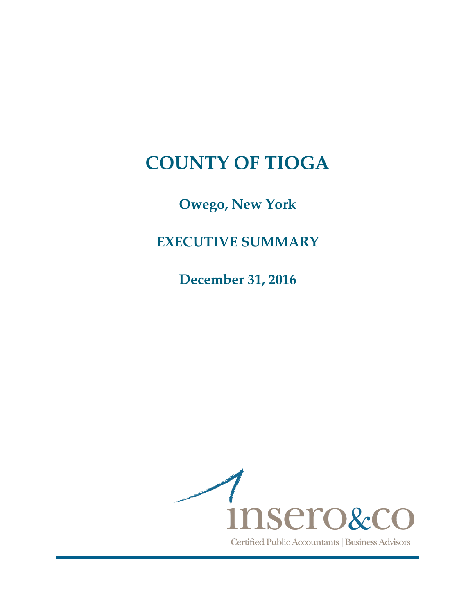**Owego, New York**

# **EXECUTIVE SUMMARY**

**December 31, 2016**

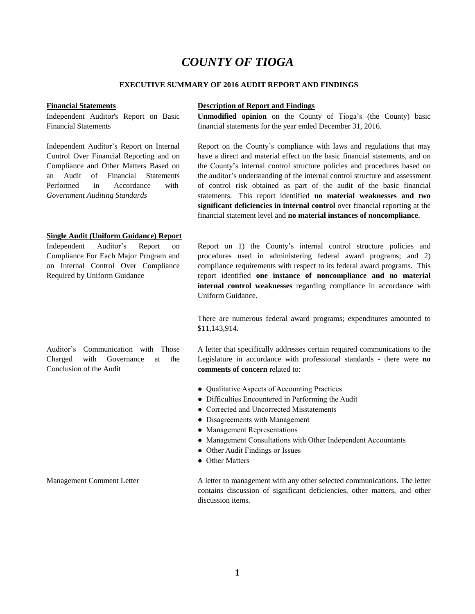### **EXECUTIVE SUMMARY OF 2016 AUDIT REPORT AND FINDINGS**

Independent Auditor's Report on Basic Financial Statements

Independent Auditor's Report on Internal Control Over Financial Reporting and on Compliance and Other Matters Based on an Audit of Financial Statements Performed in Accordance with *Government Auditing Standards*

#### **Financial Statements Description of Report and Findings**

**Unmodified opinion** on the County of Tioga's (the County) basic financial statements for the year ended December 31, 2016.

Report on the County's compliance with laws and regulations that may have a direct and material effect on the basic financial statements, and on the County's internal control structure policies and procedures based on the auditor's understanding of the internal control structure and assessment of control risk obtained as part of the audit of the basic financial statements. This report identified **no material weaknesses and two significant deficiencies in internal control** over financial reporting at the financial statement level and **no material instances of noncompliance**.

### **Single Audit (Uniform Guidance) Report**

Independent Auditor's Report on Compliance For Each Major Program and on Internal Control Over Compliance Required by Uniform Guidance

Auditor's Communication with Those Charged with Governance at the Conclusion of the Audit

Report on 1) the County's internal control structure policies and procedures used in administering federal award programs; and 2) compliance requirements with respect to its federal award programs. This report identified **one instance of noncompliance and no material internal control weaknesses** regarding compliance in accordance with Uniform Guidance.

There are numerous federal award programs; expenditures amounted to \$11,143,914.

A letter that specifically addresses certain required communications to the Legislature in accordance with professional standards - there were **no comments of concern** related to:

- Qualitative Aspects of Accounting Practices
- Difficulties Encountered in Performing the Audit
- Corrected and Uncorrected Misstatements
- Disagreements with Management
- Management Representations
- Management Consultations with Other Independent Accountants
- Other Audit Findings or Issues
- Other Matters

Management Comment Letter A letter A letter to management with any other selected communications. The letter contains discussion of significant deficiencies, other matters, and other discussion items.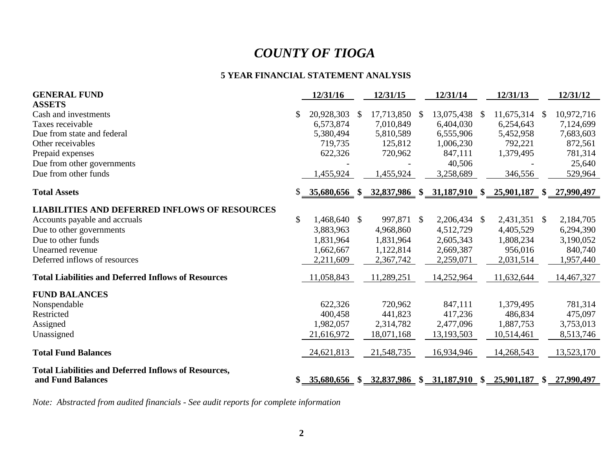## **5 YEAR FINANCIAL STATEMENT ANALYSIS**

| <b>GENERAL FUND</b>                                                                                                                                                                          |               | 12/31/16                                                                |          | 12/31/15                                                                |              | 12/31/14                                                                            |    | 12/31/13                                                                   | 12/31/12                                                                        |
|----------------------------------------------------------------------------------------------------------------------------------------------------------------------------------------------|---------------|-------------------------------------------------------------------------|----------|-------------------------------------------------------------------------|--------------|-------------------------------------------------------------------------------------|----|----------------------------------------------------------------------------|---------------------------------------------------------------------------------|
| <b>ASSETS</b><br>Cash and investments<br>Taxes receivable<br>Due from state and federal<br>Other receivables<br>Prepaid expenses<br>Due from other governments<br>Due from other funds       | \$            | 20,928,303<br>6,573,874<br>5,380,494<br>719,735<br>622,326<br>1,455,924 | <b>S</b> | 17,713,850<br>7,010,849<br>5,810,589<br>125,812<br>720,962<br>1,455,924 | <sup>S</sup> | 13,075,438<br>6,404,030<br>6,555,906<br>1,006,230<br>847,111<br>40,506<br>3,258,689 | -S | 11,675,314 \$<br>6,254,643<br>5,452,958<br>792,221<br>1,379,495<br>346,556 | 10,972,716<br>7,124,699<br>7,683,603<br>872,561<br>781,314<br>25,640<br>529,964 |
| <b>Total Assets</b>                                                                                                                                                                          |               | 35,680,656                                                              |          | $$32,837,986$ $$31,187,910$                                             |              |                                                                                     |    | \$25,901,187                                                               | \$27,990,497                                                                    |
| <b>LIABILITIES AND DEFERRED INFLOWS OF RESOURCES</b><br>Accounts payable and accruals<br>Due to other governments<br>Due to other funds<br>Unearned revenue<br>Deferred inflows of resources | $\mathcal{S}$ | 1,468,640 \$<br>3,883,963<br>1,831,964<br>1,662,667<br>2,211,609        |          | 997,871 \$<br>4,968,860<br>1,831,964<br>1,122,814<br>2,367,742          |              | 2,206,434 \$<br>4,512,729<br>2,605,343<br>2,669,387<br>2,259,071                    |    | 2,431,351 \$<br>4,405,529<br>1,808,234<br>956,016<br>2,031,514             | 2,184,705<br>6,294,390<br>3,190,052<br>840,740<br>1,957,440                     |
| <b>Total Liabilities and Deferred Inflows of Resources</b>                                                                                                                                   |               | 11,058,843                                                              |          | 11,289,251                                                              |              | 14,252,964                                                                          |    | 11,632,644                                                                 | 14,467,327                                                                      |
| <b>FUND BALANCES</b><br>Nonspendable<br>Restricted<br>Assigned<br>Unassigned                                                                                                                 |               | 622,326<br>400,458<br>1,982,057<br>21,616,972                           |          | 720,962<br>441,823<br>2,314,782<br>18,071,168                           |              | 847,111<br>417,236<br>2,477,096<br>13,193,503                                       |    | 1,379,495<br>486,834<br>1,887,753<br>10,514,461                            | 781,314<br>475,097<br>3,753,013<br>8,513,746                                    |
| <b>Total Fund Balances</b>                                                                                                                                                                   |               | 24,621,813                                                              |          | 21,548,735                                                              |              | 16,934,946                                                                          |    | 14,268,543                                                                 | 13,523,170                                                                      |
| <b>Total Liabilities and Deferred Inflows of Resources,</b><br>and Fund Balances                                                                                                             |               |                                                                         |          |                                                                         |              |                                                                                     |    | $$35,680,656$ $$32,837,986$ $$31,187,910$ $$25,901,187$                    | \$27,990,497                                                                    |

*Note: Abstracted from audited financials - See audit reports for complete information*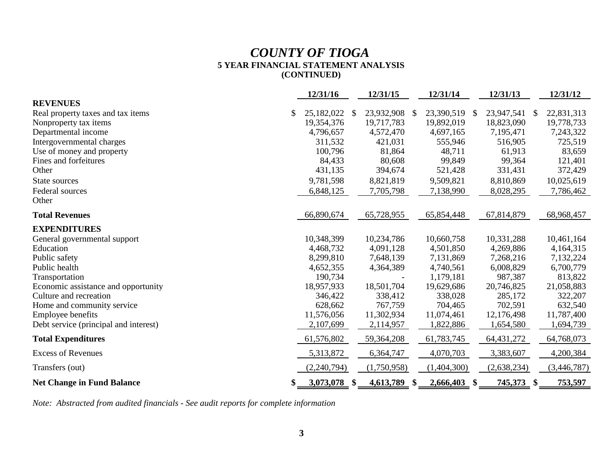# **5 YEAR FINANCIAL STATEMENT ANALYSIS (CONTINUED)** *COUNTY OF TIOGA*

|                                       | 12/31/16        |               | 12/31/15    |               | 12/31/14    |               | 12/31/13     |               | 12/31/12    |
|---------------------------------------|-----------------|---------------|-------------|---------------|-------------|---------------|--------------|---------------|-------------|
| <b>REVENUES</b>                       |                 |               |             |               |             |               |              |               |             |
| Real property taxes and tax items     | 25,182,022      | <sup>\$</sup> | 23,932,908  | S.            | 23,390,519  | $\mathbb{S}$  | 23,947,541   | <sup>\$</sup> | 22,831,313  |
| Nonproperty tax items                 | 19,354,376      |               | 19,717,783  |               | 19,892,019  |               | 18,823,090   |               | 19,778,733  |
| Departmental income                   | 4,796,657       |               | 4,572,470   |               | 4,697,165   |               | 7,195,471    |               | 7,243,322   |
| Intergovernmental charges             | 311,532         |               | 421,031     |               | 555,946     |               | 516,905      |               | 725,519     |
| Use of money and property             | 100,796         |               | 81,864      |               | 48,711      |               | 61,913       |               | 83,659      |
| Fines and forfeitures                 | 84,433          |               | 80,608      |               | 99,849      |               | 99,364       |               | 121,401     |
| Other                                 | 431,135         |               | 394,674     |               | 521,428     |               | 331,431      |               | 372,429     |
| State sources                         | 9,781,598       |               | 8,821,819   |               | 9,509,821   |               | 8,810,869    |               | 10,025,619  |
| Federal sources                       | 6,848,125       |               | 7,705,798   |               | 7,138,990   |               | 8,028,295    |               | 7,786,462   |
| Other                                 |                 |               |             |               |             |               |              |               |             |
| <b>Total Revenues</b>                 | 66,890,674      |               | 65,728,955  |               | 65,854,448  |               | 67,814,879   |               | 68,968,457  |
| <b>EXPENDITURES</b>                   |                 |               |             |               |             |               |              |               |             |
| General governmental support          | 10,348,399      |               | 10,234,786  |               | 10,660,758  |               | 10,331,288   |               | 10,461,164  |
| Education                             | 4,468,732       |               | 4,091,128   |               | 4,501,850   |               | 4,269,886    |               | 4,164,315   |
| Public safety                         | 8,299,810       |               | 7,648,139   |               | 7,131,869   |               | 7,268,216    |               | 7,132,224   |
| Public health                         | 4,652,355       |               | 4,364,389   |               | 4,740,561   |               | 6,008,829    |               | 6,700,779   |
| Transportation                        | 190,734         |               |             |               | 1,179,181   |               | 987,387      |               | 813,822     |
| Economic assistance and opportunity   | 18,957,933      |               | 18,501,704  |               | 19,629,686  |               | 20,746,825   |               | 21,058,883  |
| Culture and recreation                | 346,422         |               | 338,412     |               | 338,028     |               | 285,172      |               | 322,207     |
| Home and community service            | 628,662         |               | 767,759     |               | 704,465     |               | 702,591      |               | 632,540     |
| <b>Employee benefits</b>              | 11,576,056      |               | 11,302,934  |               | 11,074,461  |               | 12,176,498   |               | 11,787,400  |
| Debt service (principal and interest) | 2,107,699       |               | 2,114,957   |               | 1,822,886   |               | 1,654,580    |               | 1,694,739   |
| <b>Total Expenditures</b>             | 61,576,802      |               | 59,364,208  |               | 61,783,745  |               | 64, 431, 272 |               | 64,768,073  |
| <b>Excess of Revenues</b>             | 5,313,872       |               | 6,364,747   |               | 4,070,703   |               | 3,383,607    |               | 4,200,384   |
| Transfers (out)                       | (2,240,794)     |               | (1,750,958) |               | (1,404,300) |               | (2,638,234)  |               | (3,446,787) |
| <b>Net Change in Fund Balance</b>     | \$<br>3,073,078 | $\mathbf{\$}$ | 4,613,789   | $\mathbf{\$}$ | 2,666,403   | $\mathbf{\$}$ | 745,373      | $\frac{1}{2}$ | 753,597     |

*Note: Abstracted from audited financials - See audit reports for complete information*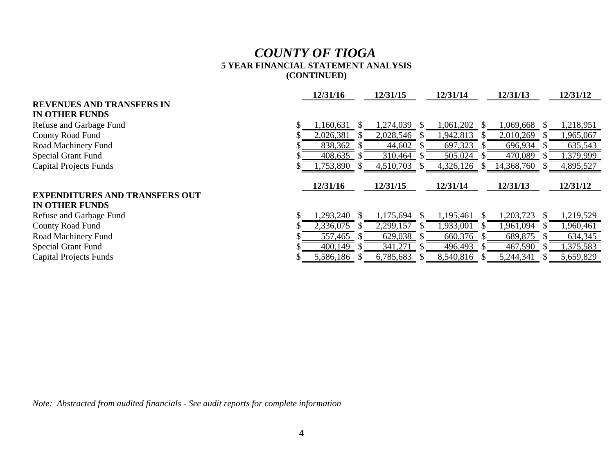# *COUNTY OF TIOGA* **5 YEAR FINANCIAL STATEMENT ANALYSIS (CONTINUED)**

|                                                                | 12/31/16  | 12/31/15  | 12/31/14  | 12/31/13   | 12/31/12  |
|----------------------------------------------------------------|-----------|-----------|-----------|------------|-----------|
| <b>REVENUES AND TRANSFERS IN</b>                               |           |           |           |            |           |
| <b>IN OTHER FUNDS</b>                                          |           |           |           |            |           |
| Refuse and Garbage Fund                                        | ,160,631  | ,274,039  | ,061,202  | 1,069,668  | 1,218,951 |
| <b>County Road Fund</b>                                        | 2,026,381 | 2,028,546 | .942,813  | 2,010,269  | 1,965,067 |
| Road Machinery Fund                                            | 838,362   | 44,602    | 697,323   | 696,934    | 635,543   |
| <b>Special Grant Fund</b>                                      | 408,635   | 310,464   | 505,024   | 470,089    | 1,379,999 |
| <b>Capital Projects Funds</b>                                  | ,753,890  | 4,510,703 | 4,326,126 | 14,368,760 | 4,895,527 |
|                                                                |           |           |           |            |           |
|                                                                |           |           |           |            |           |
|                                                                | 12/31/16  | 12/31/15  | 12/31/14  | 12/31/13   | 12/31/12  |
| <b>EXPENDITURES AND TRANSFERS OUT</b><br><b>IN OTHER FUNDS</b> |           |           |           |            |           |
| Refuse and Garbage Fund                                        | 1,293,240 | 1,175,694 | 1,195,461 | ,203,723   | 1,219,529 |
| <b>County Road Fund</b>                                        | 2,336,075 | 2,299,157 | 1,933,001 | .961,094   | 1,960,461 |
| Road Machinery Fund                                            | 557,465   | 629,038   | 660,376   | 689,875    | 634,345   |
| <b>Special Grant Fund</b>                                      | 400,149   | 341,271   | 496,493   | 467,590    | 1,375,583 |

*Note: Abstracted from audited financials - See audit reports for complete information*